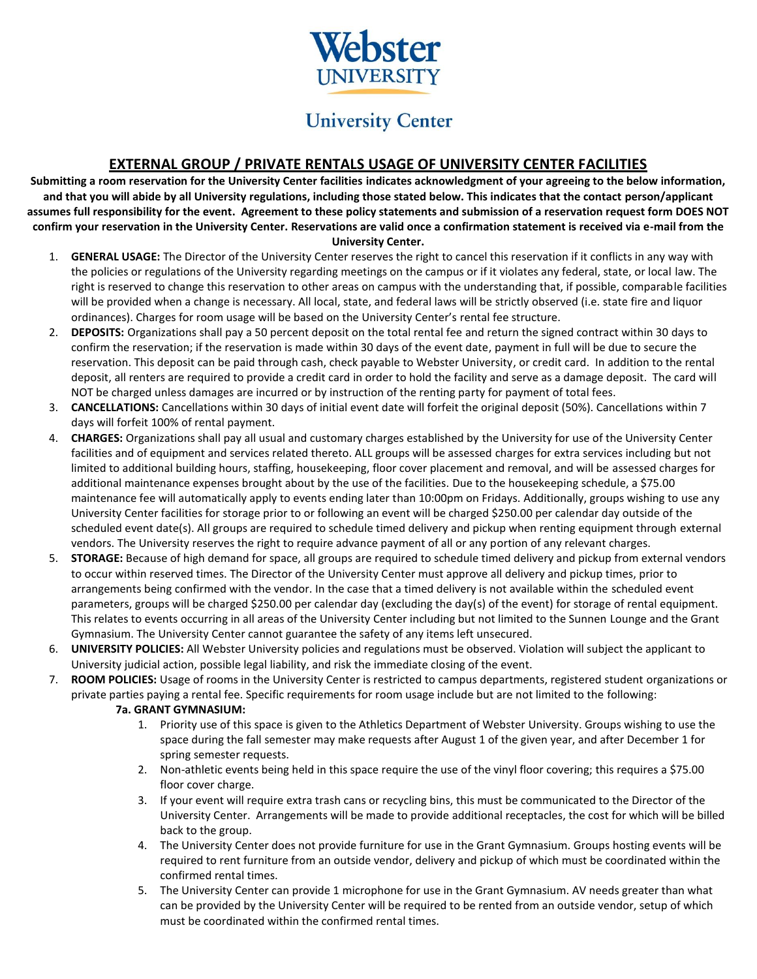

# **University Center**

# **EXTERNAL GROUP / PRIVATE RENTALS USAGE OF UNIVERSITY CENTER FACILITIES**

**Submitting a room reservation for the University Center facilities indicates acknowledgment of your agreeing to the below information, and that you will abide by all University regulations, including those stated below. This indicates that the contact person/applicant assumes full responsibility for the event. Agreement to these policy statements and submission of a reservation request form DOES NOT confirm your reservation in the University Center. Reservations are valid once a confirmation statement is received via e-mail from the University Center.**

- 1. **GENERAL USAGE:** The Director of the University Center reserves the right to cancel this reservation if it conflicts in any way with the policies or regulations of the University regarding meetings on the campus or if it violates any federal, state, or local law. The right is reserved to change this reservation to other areas on campus with the understanding that, if possible, comparable facilities will be provided when a change is necessary. All local, state, and federal laws will be strictly observed (i.e. state fire and liquor ordinances). Charges for room usage will be based on the University Center's rental fee structure.
- 2. **DEPOSITS:** Organizations shall pay a 50 percent deposit on the total rental fee and return the signed contract within 30 days to confirm the reservation; if the reservation is made within 30 days of the event date, payment in full will be due to secure the reservation. This deposit can be paid through cash, check payable to Webster University, or credit card. In addition to the rental deposit, all renters are required to provide a credit card in order to hold the facility and serve as a damage deposit. The card will NOT be charged unless damages are incurred or by instruction of the renting party for payment of total fees.
- 3. **CANCELLATIONS:** Cancellations within 30 days of initial event date will forfeit the original deposit (50%). Cancellations within 7 days will forfeit 100% of rental payment.
- 4. **CHARGES:** Organizations shall pay all usual and customary charges established by the University for use of the University Center facilities and of equipment and services related thereto. ALL groups will be assessed charges for extra services including but not limited to additional building hours, staffing, housekeeping, floor cover placement and removal, and will be assessed charges for additional maintenance expenses brought about by the use of the facilities. Due to the housekeeping schedule, a \$75.00 maintenance fee will automatically apply to events ending later than 10:00pm on Fridays. Additionally, groups wishing to use any University Center facilities for storage prior to or following an event will be charged \$250.00 per calendar day outside of the scheduled event date(s). All groups are required to schedule timed delivery and pickup when renting equipment through external vendors. The University reserves the right to require advance payment of all or any portion of any relevant charges.
- 5. **STORAGE:** Because of high demand for space, all groups are required to schedule timed delivery and pickup from external vendors to occur within reserved times. The Director of the University Center must approve all delivery and pickup times, prior to arrangements being confirmed with the vendor. In the case that a timed delivery is not available within the scheduled event parameters, groups will be charged \$250.00 per calendar day (excluding the day(s) of the event) for storage of rental equipment. This relates to events occurring in all areas of the University Center including but not limited to the Sunnen Lounge and the Grant Gymnasium. The University Center cannot guarantee the safety of any items left unsecured.
- 6. **UNIVERSITY POLICIES:** All Webster University policies and regulations must be observed. Violation will subject the applicant to University judicial action, possible legal liability, and risk the immediate closing of the event.
- 7. **ROOM POLICIES:** Usage of rooms in the University Center is restricted to campus departments, registered student organizations or private parties paying a rental fee. Specific requirements for room usage include but are not limited to the following:

#### **7a. GRANT GYMNASIUM:**

- 1. Priority use of this space is given to the Athletics Department of Webster University. Groups wishing to use the space during the fall semester may make requests after August 1 of the given year, and after December 1 for spring semester requests.
- 2. Non-athletic events being held in this space require the use of the vinyl floor covering; this requires a \$75.00 floor cover charge.
- 3. If your event will require extra trash cans or recycling bins, this must be communicated to the Director of the University Center. Arrangements will be made to provide additional receptacles, the cost for which will be billed back to the group.
- 4. The University Center does not provide furniture for use in the Grant Gymnasium. Groups hosting events will be required to rent furniture from an outside vendor, delivery and pickup of which must be coordinated within the confirmed rental times.
- 5. The University Center can provide 1 microphone for use in the Grant Gymnasium. AV needs greater than what can be provided by the University Center will be required to be rented from an outside vendor, setup of which must be coordinated within the confirmed rental times.